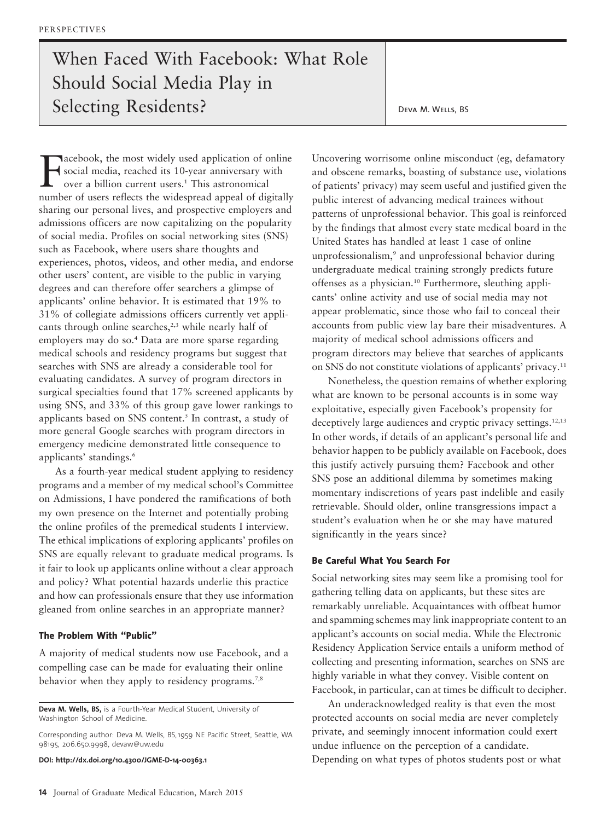# When Faced With Facebook: What Role Should Social Media Play in Selecting Residents? **Deva M. WELLS, BS**

Tacebook, the most widely used application of online<br>social media, reached its 10-year anniversary with<br>over a billion current users.<sup>1</sup> This astronomical<br>number of users reflects the widespread appeal of digitally acebook, the most widely used application of online social media, reached its 10-year anniversary with over a billion current users.<sup>1</sup> This astronomical sharing our personal lives, and prospective employers and admissions officers are now capitalizing on the popularity of social media. Profiles on social networking sites (SNS) such as Facebook, where users share thoughts and experiences, photos, videos, and other media, and endorse other users' content, are visible to the public in varying degrees and can therefore offer searchers a glimpse of applicants' online behavior. It is estimated that 19% to 31% of collegiate admissions officers currently vet applicants through online searches,<sup>2,3</sup> while nearly half of employers may do so.<sup>4</sup> Data are more sparse regarding medical schools and residency programs but suggest that searches with SNS are already a considerable tool for evaluating candidates. A survey of program directors in surgical specialties found that 17% screened applicants by using SNS, and 33% of this group gave lower rankings to applicants based on SNS content.<sup>5</sup> In contrast, a study of more general Google searches with program directors in emergency medicine demonstrated little consequence to applicants' standings.<sup>6</sup>

As a fourth-year medical student applying to residency programs and a member of my medical school's Committee on Admissions, I have pondered the ramifications of both my own presence on the Internet and potentially probing the online profiles of the premedical students I interview. The ethical implications of exploring applicants' profiles on SNS are equally relevant to graduate medical programs. Is it fair to look up applicants online without a clear approach and policy? What potential hazards underlie this practice and how can professionals ensure that they use information gleaned from online searches in an appropriate manner?

## The Problem With ''Public''

A majority of medical students now use Facebook, and a compelling case can be made for evaluating their online behavior when they apply to residency programs.<sup>7,8</sup>

Deva M. Wells, BS, is a Fourth-Year Medical Student, University of Washington School of Medicine.

Corresponding author: Deva M. Wells, BS, 1959 NE Pacific Street, Seattle, WA 98195, 206.650.9998, devaw@uw.edu

DOI: http://dx.doi.org/10.4300/JGME-D-14-00363.1

Uncovering worrisome online misconduct (eg, defamatory and obscene remarks, boasting of substance use, violations of patients' privacy) may seem useful and justified given the public interest of advancing medical trainees without patterns of unprofessional behavior. This goal is reinforced by the findings that almost every state medical board in the United States has handled at least 1 case of online unprofessionalism,<sup>9</sup> and unprofessional behavior during undergraduate medical training strongly predicts future offenses as a physician.<sup>10</sup> Furthermore, sleuthing applicants' online activity and use of social media may not appear problematic, since those who fail to conceal their accounts from public view lay bare their misadventures. A majority of medical school admissions officers and program directors may believe that searches of applicants on SNS do not constitute violations of applicants' privacy.11

Nonetheless, the question remains of whether exploring what are known to be personal accounts is in some way exploitative, especially given Facebook's propensity for deceptively large audiences and cryptic privacy settings.<sup>12,13</sup> In other words, if details of an applicant's personal life and behavior happen to be publicly available on Facebook, does this justify actively pursuing them? Facebook and other SNS pose an additional dilemma by sometimes making momentary indiscretions of years past indelible and easily retrievable. Should older, online transgressions impact a student's evaluation when he or she may have matured significantly in the years since?

### Be Careful What You Search For

Social networking sites may seem like a promising tool for gathering telling data on applicants, but these sites are remarkably unreliable. Acquaintances with offbeat humor and spamming schemes may link inappropriate content to an applicant's accounts on social media. While the Electronic Residency Application Service entails a uniform method of collecting and presenting information, searches on SNS are highly variable in what they convey. Visible content on Facebook, in particular, can at times be difficult to decipher.

An underacknowledged reality is that even the most protected accounts on social media are never completely private, and seemingly innocent information could exert undue influence on the perception of a candidate. Depending on what types of photos students post or what